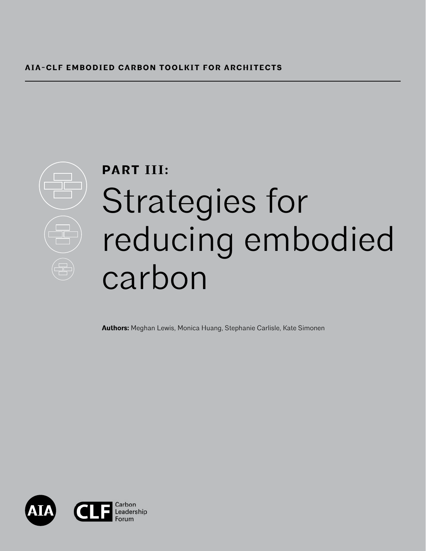

# **PART III:** Strategies for reducing embodied carbon

**Authors:** Meghan Lewis, Monica Huang, Stephanie Carlisle, Kate Simonen

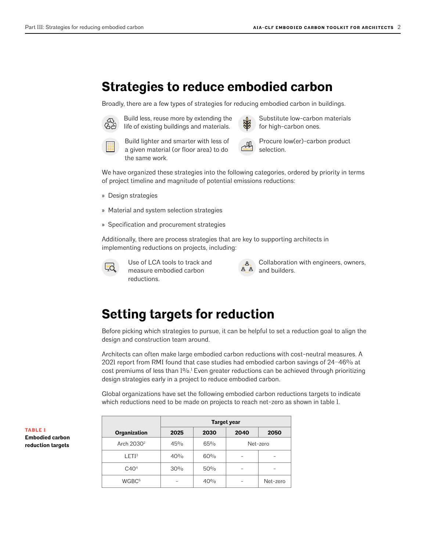## **Strategies to reduce embodied carbon**

Broadly, there are a few types of strategies for reducing embodied carbon in buildings.



 Build less, reuse more by extending the life of existing buildings and materials.

 Substitute low-carbon materials for high-carbon ones.



 Build lighter and smarter with less of a given material (or floor area) to do the same work.



**Procure low(er)-carbon product** 

We have organized these strategies into the following categories, ordered by priority in terms of project timeline and magnitude of potential emissions reductions:

- » Design strategies
- » Material and system selection strategies
- » Specification and procurement strategies

Additionally, there are process strategies that are key to supporting architects in implementing reductions on projects, including:



 $\overline{U}$  Use of LCA tools to track and measure embodied carbon reductions.



 Collaboration with engineers, owners, and builders.

## **Setting targets for reduction**

Before picking which strategies to pursue, it can be helpful to set a reduction goal to align the design and construction team around.

Architects can often make large embodied carbon reductions with cost-neutral measures. A 2021 report from RMI found that case studies had embodied carbon savings of 24–46% at cost premiums of less than  $1\%$ .<sup>1</sup> Even greater reductions can be achieved through prioritizing design strategies early in a project to reduce embodied carbon.

Global organizations have set the following embodied carbon reductions targets to indicate which reductions need to be made on projects to reach net-zero as shown in table 1.

|                        | Target year |      |      |          |
|------------------------|-------------|------|------|----------|
| Organization           | 2025        | 2030 | 2040 | 2050     |
| Arch 2030 <sup>2</sup> | 45%         | 65%  |      | Net-zero |
| LETI <sup>3</sup>      | 40%         | 60%  |      |          |
| C40 <sup>4</sup>       | 30%         | 50%  |      |          |
| WGBC <sup>5</sup>      |             | 40%  |      | Net-zero |

**TABLE 1 Embodied carbon reduction targets**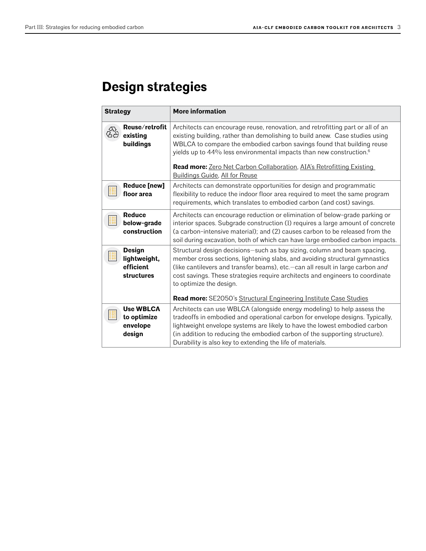# **Design strategies**

| <b>Strategy</b> |                                                          | <b>More information</b>                                                                                                                                                                                                                                                                                                                                                                                                                       |
|-----------------|----------------------------------------------------------|-----------------------------------------------------------------------------------------------------------------------------------------------------------------------------------------------------------------------------------------------------------------------------------------------------------------------------------------------------------------------------------------------------------------------------------------------|
| es<br>19        | Reuse/retrofit<br>existing<br>buildings                  | Architects can encourage reuse, renovation, and retrofitting part or all of an<br>existing building, rather than demolishing to build anew. Case studies using<br>WBLCA to compare the embodied carbon savings found that building reuse<br>yields up to 44% less environmental impacts than new construction. <sup>6</sup><br>Read more: Zero Net Carbon Collaboration, AIA's Retrofitting Existing<br><b>Buildings Guide, All for Reuse</b> |
|                 | <b>Reduce [new]</b><br>floor area                        | Architects can demonstrate opportunities for design and programmatic<br>flexibility to reduce the indoor floor area required to meet the same program<br>requirements, which translates to embodied carbon (and cost) savings.                                                                                                                                                                                                                |
|                 | <b>Reduce</b><br>below-grade<br>construction             | Architects can encourage reduction or elimination of below-grade parking or<br>interior spaces. Subgrade construction (1) requires a large amount of concrete<br>(a carbon-intensive material); and (2) causes carbon to be released from the<br>soil during excavation, both of which can have large embodied carbon impacts.                                                                                                                |
|                 | <b>Design</b><br>lightweight,<br>efficient<br>structures | Structural design decisions-such as bay sizing, column and beam spacing,<br>member cross sections, lightening slabs, and avoiding structural gymnastics<br>(like cantilevers and transfer beams), etc.-can all result in large carbon and<br>cost savings. These strategies require architects and engineers to coordinate<br>to optimize the design.<br>Read more: SE2050's Structural Engineering Institute Case Studies                    |
|                 | <b>Use WBLCA</b><br>to optimize<br>envelope<br>design    | Architects can use WBLCA (alongside energy modeling) to help assess the<br>tradeoffs in embodied and operational carbon for envelope designs. Typically,<br>lightweight envelope systems are likely to have the lowest embodied carbon<br>(in addition to reducing the embodied carbon of the supporting structure).<br>Durability is also key to extending the life of materials.                                                            |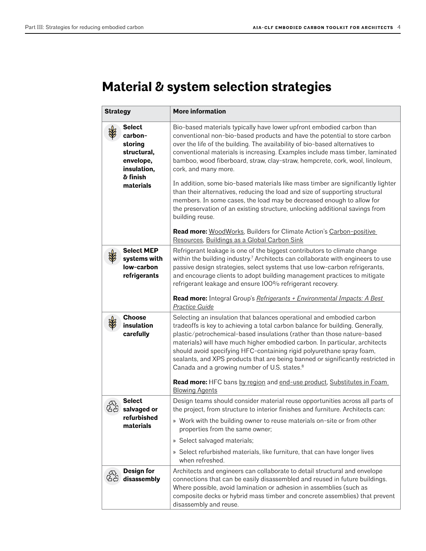## **Material & system selection strategies**

| <b>Strategy</b> |                                                                                                         | <b>More information</b>                                                                                                                                                                                                                                                                                                                                                                                                                                                                                                                                                                                                                                                                                                                                                      |
|-----------------|---------------------------------------------------------------------------------------------------------|------------------------------------------------------------------------------------------------------------------------------------------------------------------------------------------------------------------------------------------------------------------------------------------------------------------------------------------------------------------------------------------------------------------------------------------------------------------------------------------------------------------------------------------------------------------------------------------------------------------------------------------------------------------------------------------------------------------------------------------------------------------------------|
|                 | <b>Select</b><br>carbon-<br>storing<br>structural,<br>envelope,<br>insulation,<br>& finish<br>materials | Bio-based materials typically have lower upfront embodied carbon than<br>conventional non-bio-based products and have the potential to store carbon<br>over the life of the building. The availability of bio-based alternatives to<br>conventional materials is increasing. Examples include mass timber, laminated<br>bamboo, wood fiberboard, straw, clay-straw, hempcrete, cork, wool, linoleum,<br>cork, and many more.<br>In addition, some bio-based materials like mass timber are significantly lighter<br>than their alternatives, reducing the load and size of supporting structural<br>members. In some cases, the load may be decreased enough to allow for<br>the preservation of an existing structure, unlocking additional savings from<br>building reuse. |
|                 |                                                                                                         | Read more: WoodWorks, Builders for Climate Action's Carbon-positive<br>Resources, Buildings as a Global Carbon Sink                                                                                                                                                                                                                                                                                                                                                                                                                                                                                                                                                                                                                                                          |
|                 | <b>Select MEP</b><br>systems with<br>low-carbon<br>refrigerants                                         | Refrigerant leakage is one of the biggest contributors to climate change<br>within the building industry. <sup>7</sup> Architects can collaborate with engineers to use<br>passive design strategies, select systems that use low-carbon refrigerants,<br>and encourage clients to adopt building management practices to mitigate<br>refrigerant leakage and ensure 100% refrigerant recovery.                                                                                                                                                                                                                                                                                                                                                                              |
|                 |                                                                                                         | Read more: Integral Group's Refrigerants + Environmental Impacts: A Best<br>Practice Guide                                                                                                                                                                                                                                                                                                                                                                                                                                                                                                                                                                                                                                                                                   |
|                 | <b>Choose</b><br>insulation<br>carefully                                                                | Selecting an insulation that balances operational and embodied carbon<br>tradeoffs is key to achieving a total carbon balance for building. Generally,<br>plastic/petrochemical-based insulations (rather than those nature-based<br>materials) will have much higher embodied carbon. In particular, architects<br>should avoid specifying HFC-containing rigid polyurethane spray foam,<br>sealants, and XPS products that are being banned or significantly restricted in<br>Canada and a growing number of U.S. states. <sup>8</sup>                                                                                                                                                                                                                                     |
|                 |                                                                                                         | Read more: HFC bans by region and end-use product, Substitutes in Foam<br><b>Blowing Agents</b>                                                                                                                                                                                                                                                                                                                                                                                                                                                                                                                                                                                                                                                                              |
|                 | <b>Select</b><br>salvaged or<br>refurbished                                                             | Design teams should consider material reuse opportunities across all parts of<br>the project, from structure to interior finishes and furniture. Architects can:                                                                                                                                                                                                                                                                                                                                                                                                                                                                                                                                                                                                             |
|                 | materials                                                                                               | » Work with the building owner to reuse materials on-site or from other<br>properties from the same owner;                                                                                                                                                                                                                                                                                                                                                                                                                                                                                                                                                                                                                                                                   |
|                 |                                                                                                         | » Select salvaged materials;<br>» Select refurbished materials, like furniture, that can have longer lives                                                                                                                                                                                                                                                                                                                                                                                                                                                                                                                                                                                                                                                                   |
|                 |                                                                                                         | when refreshed.                                                                                                                                                                                                                                                                                                                                                                                                                                                                                                                                                                                                                                                                                                                                                              |
|                 | Design for<br>disassembly                                                                               | Architects and engineers can collaborate to detail structural and envelope<br>connections that can be easily disassembled and reused in future buildings.<br>Where possible, avoid lamination or adhesion in assemblies (such as<br>composite decks or hybrid mass timber and concrete assemblies) that prevent<br>disassembly and reuse.                                                                                                                                                                                                                                                                                                                                                                                                                                    |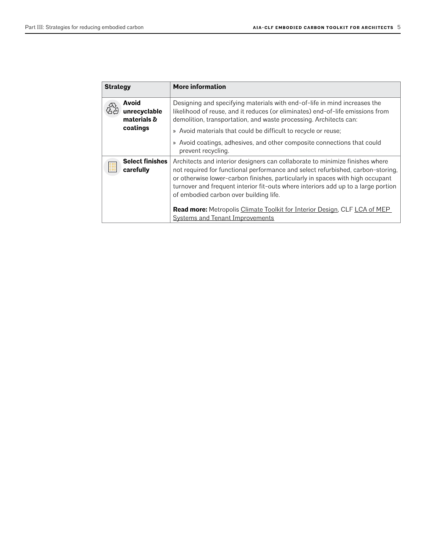| <b>Strategy</b>                      | <b>More information</b>                                                                                                                                                                                                                                                                                                                                                         |
|--------------------------------------|---------------------------------------------------------------------------------------------------------------------------------------------------------------------------------------------------------------------------------------------------------------------------------------------------------------------------------------------------------------------------------|
| Avoid<br>unrecyclable<br>materials & | Designing and specifying materials with end-of-life in mind increases the<br>likelihood of reuse, and it reduces (or eliminates) end-of-life emissions from<br>demolition, transportation, and waste processing. Architects can:                                                                                                                                                |
| coatings                             | » Avoid materials that could be difficult to recycle or reuse;                                                                                                                                                                                                                                                                                                                  |
|                                      | » Avoid coatings, adhesives, and other composite connections that could<br>prevent recycling.                                                                                                                                                                                                                                                                                   |
| <b>Select finishes</b><br>carefully  | Architects and interior designers can collaborate to minimize finishes where<br>not required for functional performance and select refurbished, carbon-storing,<br>or otherwise lower-carbon finishes, particularly in spaces with high occupant<br>turnover and frequent interior fit-outs where interiors add up to a large portion<br>of embodied carbon over building life. |
|                                      | Read more: Metropolis Climate Toolkit for Interior Design, CLF LCA of MEP                                                                                                                                                                                                                                                                                                       |
|                                      | <b>Systems and Tenant Improvements</b>                                                                                                                                                                                                                                                                                                                                          |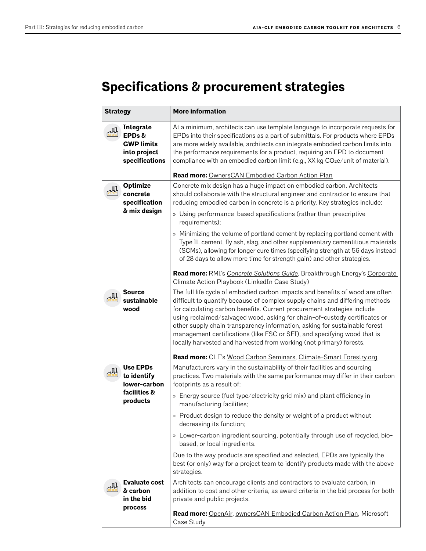# **Specifications & procurement strategies**

| <b>Strategy</b> |                                                                            | <b>More information</b>                                                                                                                                                                                                                                                                                                                                                                                                                                                                                                                                 |
|-----------------|----------------------------------------------------------------------------|---------------------------------------------------------------------------------------------------------------------------------------------------------------------------------------------------------------------------------------------------------------------------------------------------------------------------------------------------------------------------------------------------------------------------------------------------------------------------------------------------------------------------------------------------------|
|                 | Integrate<br>EPDs &<br><b>GWP limits</b><br>into project<br>specifications | At a minimum, architects can use template language to incorporate requests for<br>EPDs into their specifications as a part of submittals. For products where EPDs<br>are more widely available, architects can integrate embodied carbon limits into<br>the performance requirements for a product, requiring an EPD to document<br>compliance with an embodied carbon limit (e.g., XX kg CO2e/unit of material).                                                                                                                                       |
|                 |                                                                            | <b>Read more: OwnersCAN Embodied Carbon Action Plan</b>                                                                                                                                                                                                                                                                                                                                                                                                                                                                                                 |
|                 | <b>Optimize</b><br>concrete<br>specification<br>& mix design               | Concrete mix design has a huge impact on embodied carbon. Architects<br>should collaborate with the structural engineer and contractor to ensure that<br>reducing embodied carbon in concrete is a priority. Key strategies include:                                                                                                                                                                                                                                                                                                                    |
|                 |                                                                            | » Using performance-based specifications (rather than prescriptive<br>requirements);                                                                                                                                                                                                                                                                                                                                                                                                                                                                    |
|                 |                                                                            | » Minimizing the volume of portland cement by replacing portland cement with<br>Type IL cement, fly ash, slag, and other supplementary cementitious materials<br>(SCMs), allowing for longer cure times (specifying strength at 56 days instead<br>of 28 days to allow more time for strength gain) and other strategies.                                                                                                                                                                                                                               |
|                 |                                                                            | Read more: RMI's Concrete Solutions Guide, Breakthrough Energy's Corporate<br>Climate Action Playbook (LinkedIn Case Study)                                                                                                                                                                                                                                                                                                                                                                                                                             |
|                 | <b>Source</b><br>sustainable<br>wood                                       | The full life cycle of embodied carbon impacts and benefits of wood are often<br>difficult to quantify because of complex supply chains and differing methods<br>for calculating carbon benefits. Current procurement strategies include<br>using reclaimed/salvaged wood, asking for chain-of-custody certificates or<br>other supply chain transparency information, asking for sustainable forest<br>management certifications (like FSC or SFI), and specifying wood that is<br>locally harvested and harvested from working (not primary) forests. |
|                 |                                                                            | Read more: CLF's Wood Carbon Seminars, Climate-Smart Forestry.org                                                                                                                                                                                                                                                                                                                                                                                                                                                                                       |
|                 | <b>Use EPDs</b><br>to identify<br>lower-carbon<br>facilities &             | Manufacturers vary in the sustainability of their facilities and sourcing<br>practices. Two materials with the same performance may differ in their carbon<br>footprints as a result of:                                                                                                                                                                                                                                                                                                                                                                |
|                 | products                                                                   | » Energy source (fuel type/electricity grid mix) and plant efficiency in<br>manufacturing facilities;                                                                                                                                                                                                                                                                                                                                                                                                                                                   |
|                 |                                                                            | » Product design to reduce the density or weight of a product without<br>decreasing its function;                                                                                                                                                                                                                                                                                                                                                                                                                                                       |
|                 |                                                                            | » Lower-carbon ingredient sourcing, potentially through use of recycled, bio-<br>based, or local ingredients.                                                                                                                                                                                                                                                                                                                                                                                                                                           |
|                 |                                                                            | Due to the way products are specified and selected, EPDs are typically the<br>best (or only) way for a project team to identify products made with the above<br>strategies.                                                                                                                                                                                                                                                                                                                                                                             |
|                 | <b>Evaluate cost</b><br>& carbon<br>in the bid                             | Architects can encourage clients and contractors to evaluate carbon, in<br>addition to cost and other criteria, as award criteria in the bid process for both<br>private and public projects.                                                                                                                                                                                                                                                                                                                                                           |
|                 | process                                                                    | Read more: OpenAir, ownersCAN Embodied Carbon Action Plan, Microsoft<br>Case Study                                                                                                                                                                                                                                                                                                                                                                                                                                                                      |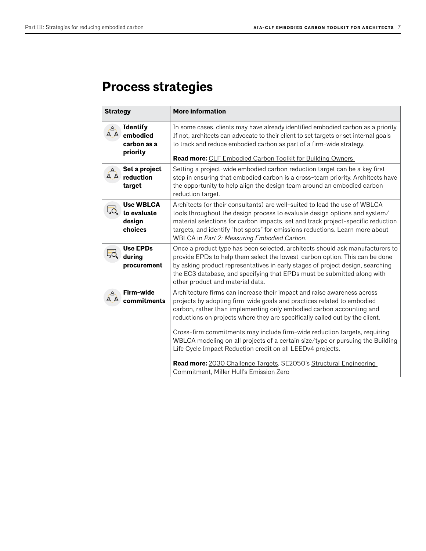# **Process strategies**

| <b>Strategy</b> |                                                        | <b>More information</b>                                                                                                                                                                                                                                                                                                                                                     |
|-----------------|--------------------------------------------------------|-----------------------------------------------------------------------------------------------------------------------------------------------------------------------------------------------------------------------------------------------------------------------------------------------------------------------------------------------------------------------------|
| A<br>نے ف       | <b>Identify</b><br>embodied<br>carbon as a<br>priority | In some cases, clients may have already identified embodied carbon as a priority.<br>If not, architects can advocate to their client to set targets or set internal goals<br>to track and reduce embodied carbon as part of a firm-wide strategy.<br><b>Read more: CLF Embodied Carbon Toolkit for Building Owners</b>                                                      |
| A<br>8ء م       | Set a project<br>reduction<br>target                   | Setting a project-wide embodied carbon reduction target can be a key first<br>step in ensuring that embodied carbon is a cross-team priority. Architects have<br>the opportunity to help align the design team around an embodied carbon<br>reduction target.                                                                                                               |
|                 | <b>Use WBLCA</b><br>to evaluate<br>design<br>choices   | Architects (or their consultants) are well-suited to lead the use of WBLCA<br>tools throughout the design process to evaluate design options and system/<br>material selections for carbon impacts, set and track project-specific reduction<br>targets, and identify "hot spots" for emissions reductions. Learn more about<br>WBLCA in Part 2: Measuring Embodied Carbon. |
|                 | <b>Use EPDs</b><br>during<br>procurement               | Once a product type has been selected, architects should ask manufacturers to<br>provide EPDs to help them select the lowest-carbon option. This can be done<br>by asking product representatives in early stages of project design, searching<br>the EC3 database, and specifying that EPDs must be submitted along with<br>other product and material data.               |
| A<br><u>ර A</u> | Firm-wide<br>commitments                               | Architecture firms can increase their impact and raise awareness across<br>projects by adopting firm-wide goals and practices related to embodied<br>carbon, rather than implementing only embodied carbon accounting and<br>reductions on projects where they are specifically called out by the client.                                                                   |
|                 |                                                        | Cross-firm commitments may include firm-wide reduction targets, requiring<br>WBLCA modeling on all projects of a certain size/type or pursuing the Building<br>Life Cycle Impact Reduction credit on all LEEDv4 projects.                                                                                                                                                   |
|                 |                                                        | Read more: 2030 Challenge Targets, SE2050's Structural Engineering<br>Commitment, Miller Hull's Emission Zero                                                                                                                                                                                                                                                               |